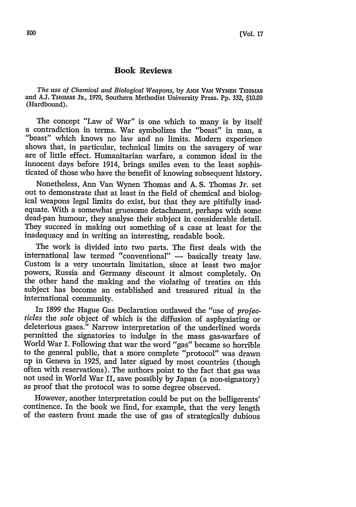## **Book Reviews**

*The use of Chemical and Biological Weapons,* by **ANN VAN** WYNEN THOMAS and AJ. THOMAS JR., 1970, Southern Methodist University Press. Pp. 332, **10.00** (Hardbound).

The concept "Law of War" is one which to many is by itself a contradiction in terms. War symbolizes the "beast" in man, a "beast" which knows no law and no limits. Modern experience shows that, in particular, technical limits on the savagery of war are of little effect. Humanitarian warfare, a common ideal in the innocent days before 1914, brings smiles even to the least sophisticated of those who have the benefit of knowing subsequent history.

Nonetheless, Ann Van Wynen Thomas and A. S. Thomas Jr. set out to demonstrate that at least in the field of chemical and biological weapons legal limits do exist, but that they are pitifully inadequate. With a somewhat gruesome detachment, perhaps with some dead-pan humour, they analyse their subject in considerable detail. They succeed in making out something of a case at least for the inadequacy and in writing an interesting, readable book.

The work is divided into two parts. The first deals with the international law termed "conventional" - basically treaty law. Custom is a very uncertain limitation, since at least two major powers, Russia and Germany discount it almost completely. On the other hand the making and the violating of treaties on this subject has become an established and treasured ritual in the international community.

In 1899 the Hague Gas Declaration outlawed the "use of *projecticles* the *sole* object of which is the diffusion of asphyxiating or deleterious gases." Narrow interpretation of the underlined words permitted the signatories to indulge in the mass gas-warfare of World War I. Following that war the word "gas" became so horrible to the general public, that a more complete "protocol" was drawn up in Geneva in 1925, and later sigued by most countries (though often with reservations). The authors point to the fact that gas was not used in World War II, save possibly by Japan (a non-signatory) as proof that the protocol was to some degree observed.

However, another interpretation could be put on the belligerents' continence. In the book we find, for example, that the very length of the eastern front made the use of gas of strategically dubious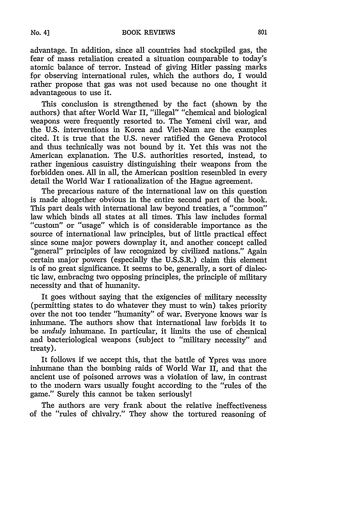advantage. In addition, since all countries had stockpiled gas, the fear of mass retaliation created a situation comparable to today's atomic balance of terror. Instead of giving Hitler passing marks for observing international rules, which the authors do, I would rather propose that gas was not used because no one thought it advantageous to use it.

This conclusion is strengthened by the fact (shown by the authors) that after World War II, "illegal" "chemical and biological weapons were frequently resorted to. The Yemeni civil war, and the U.S. interventions in Korea and Viet-Nam are the examples cited. It is true that the U.S. never ratified the Geneva Protocol and thus technically was not bound by it. Yet this was not the American explanation. The U.S. authorities resorted, instead, to rather ingenious casuistry distinguishing their weapons from the forbidden ones. All in all, the American position resembled in every detail the World War I rationalization of the Hague agreement.

The precarious nature of the international law on this question is made altogether obvious in the entire second part of the book. This part deals with international law beyond treaties, a "common" law which binds all states at all times. This law includes formal "custom" or "usage" which is of considerable importance as the source of international law principles, but of little practical effect since some major powers downplay it, and another concept called "general" principles of law recognized by civilized nations." Again certain major powers (especially the U.S.S.R.) claim this element is of no great significance. It seems to be, generally, a sort of dialectic law, embracing two opposing principles, the principle of military necessity and that of humanity.

It goes without saying that the exigencies of military necessity (permitting states to do whatever they must to win) takes priority over the not too tender "humanity" of war. Everyone knows war is inhumane. The authors show that international law forbids it to be *unduly* inhumane. In particular, it limits the use of chemical and bacteriological weapons (subject to "military necessity" and treaty).

It follows if we accept this, that the battle of Ypres was more inhumane than the bombing raids of World War II, and that the ancient use of poisoned arrows was a violation of law, in contrast to the modern wars usually fought according to the "rules of the game." Surely this cannot be taken seriously!

The authors are very frank about the relative ineffectiveness of the "rules of chivalry." They show the tortured reasoning of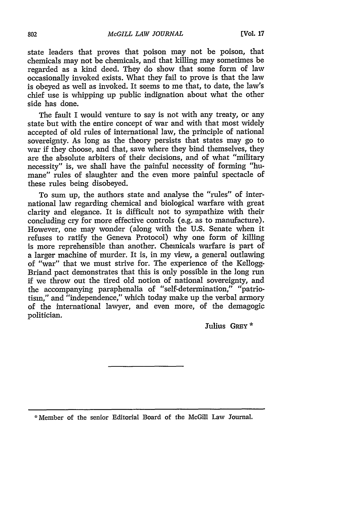state leaders that proves that poison may not be poison, that chemicals may not be chemicals, and that killing may sometimes be regarded as a kind deed. They do show that some form of law occasionally invoked exists. What they fail to prove is that the law is obeyed as well as invoked. It seems to me that, to date, the law's chief use is whipping up public indignation about what the other side has done.

The fault I would venture to say is not with any treaty, or any state but with the entire concept of war and with that most widely accepted of old rules of international law, the principle of national sovereignty. As long as the theory persists that states may go to war if they choose, and that, save where they bind themselves, they are the absolute arbiters of their decisions, and of what "military necessity" is, we shall have the painful necessity of forming "humane" rules of slaughter and the even more painful spectacle of these rules being disobeyed.

To sum up, the authors state and analyse the "rules" of international law regarding chemical and biological warfare with great clarity and elegance. It is difficult not to sympathize with their concluding cry for more effective controls (e.g. as to manufacture). However, one may wonder (along with the U.S. Senate when it refuses to ratify the Geneva Protocol) why one form of killing is more reprehensible than another. Chemicals warfare is part of a larger machine of murder. It is, in my view, a general outlawing of "war" that we must strive for. The experience of the Kellogg-Briand pact demonstrates that this is only possible in the long run if we throw out the tired old notion of national sovereignty, and the accompanying paraphenalia of "self-determination," "patriotism," and "independence," which today make up the verbal armory of the international lawyer, and even more, of the demagogic politician.

Julius GREY \*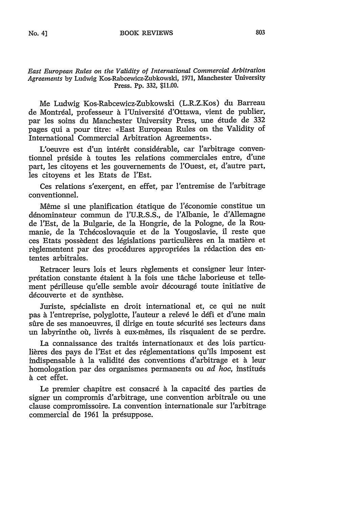## *East European Rules on the Validity of International Commercial Arbitration Agreements* **by** Ludwig Kos-Rabcewicz-Zubkowski, **1971,** Manchester University Press. Pp. 332, **\$11.00.**

Me Ludwig Kos-Rabcewicz-Zubkowski (L.R.Z.Kos) du Barreau de Montréal, professeur à l'Université d'Ottawa, vient de publier, par les soins du Manchester University Press, une 6tude de 332 pages qui a pour titre: «East European Rules on the Validity of International Commercial Arbitration Agreements».

L'oeuvre est d'un intérêt considérable, car l'arbitrage conventionnel préside à toutes les relations commerciales entre, d'une part, les citoyens et les gouvernements de l'Ouest, et, d'autre part, les citoyens et les Etats de l'Est.

Ces relations s'exercent, en effet, par l'entremise de l'arbitrage conventionnel.

M6me si une planification 6tatique de l'6conomie constitue un dénominateur commun de l'U.R.S.S., de l'Albanie, le d'Allemagne de l'Est, de la Bulgarie, de la Hongrie, de la Pologne, de Ia Roumanie, de la Tchécoslovaquie et de la Yougoslavie, il reste que ces Etats possèdent des législations particulières en la matière et règlementent par des procédures appropriées la rédaction des ententes arbitrales.

Retracer leurs lois et leurs règlements et consigner leur interprétation constante étaient à la fois une tâche laborieuse et tellement périlleuse qu'elle semble avoir découragé toute initiative de découverte et de synthèse.

Juriste, spécialiste en droit international et, ce qui ne nuit pas à l'entreprise, polyglotte, l'auteur a relevé le défi et d'une main sûre de ses manoeuvres, il dirige en toute sécurité ses lecteurs dans un labyrinthe où, livrés à eux-mêmes, ils risquaient de se perdre.

La connaissance des traités internationaux et des lois particulières des pays de l'Est et des réglementations qu'ils imposent est indispensable à la validité des conventions d'arbitrage et à leur homologation par des organismes permanents ou *ad hoc*, institués à cet effet.

Le premier chapitre est consacré à la capacité des parties de signer un compromis d'arbitrage, une convention arbitrale ou une clause compromissoire. La convention internationale sur l'arbitrage commercial de 1961 la présuppose.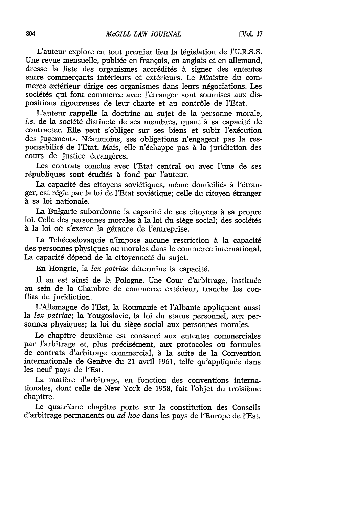L'auteur explore en tout premier lieu la législation de l'U.R.S.S. Une revue mensuelle, publiée en français, en anglais et en allemand, dresse la liste des organismes accr6dit6s **.** signer des ententes entre commercants intérieurs et extérieurs. Le Ministre du commerce extérieur dirige ces organismes dans leurs négociations. Les sociétés qui font commerce avec l'étranger sont soumises aux dispositions rigoureuses de leur charte et au contr6le de l'Etat.

L'auteur rappelle la doctrine au sujet de la personne morale, *i.e.* de la société distincte de ses membres, quant à sa capacité de contracter. Elle peut s'obliger sur ses biens et subir l'exécution des jugements. Néanmoins, ses obligations n'engagent pas la responsabilité de l'Etat. Mais, elle n'échappe pas à la juridiction des cours de justice étrangères.

Les contrats conclus avec l'Etat central ou avec l'une de ses républiques sont étudiés à fond par l'auteur.

La capacité des citoyens soviétiques, même domiciliés à l'étranger, est régie par la loi de l'Etat soviétique; celle du citoyen étranger à sa loi nationale.

La Bulgarie subordonne la capacit6 de ses citoyens *h* sa propre loi. Celle des personnes morales à la loi du siège social; des sociétés à la loi où s'exerce la gérance de l'entreprise.

La Tchécoslovaquie n'impose aucune restriction à la capacité des personnes physiques ou morales dans le commerce international. La capacité dépend de la citoyenneté du sujet.

En Hongrie, la *lex patriae* détermine la capacité.

Il en est ainsi de la Pologne. Une Cour d'arbitrage, instituée au sein de la Chambre de commerce extérieur, tranche les conflits de juridiction.

L'Allemagne de l'Est, la Roumanie et l'Albanie appliquent aussi la *lex patriae;* la Yougoslavie, la loi du status personnel, aux personnes physiques; Ia loi du siege social aux personnes morales.

Le chapitre deuxième est consacré aux ententes commerciales par l'arbitrage et, plus précisément, aux protocoles ou formules de contrats d'arbitrage commercial, *h* la suite de la Convention internationale de Genève du 21 avril 1961, telle qu'appliquée dans les neuf pays de l'Est.

La matière d'arbitrage, en fonction des conventions internationales, dont celle de New York de 1958, fait l'objet du troisième chapitre.

Le quatrième chapitre porte sur la constitution des Conseils d'arbitrage permanents ou *ad hoc* dans les pays de l'Europe de 1'Est.